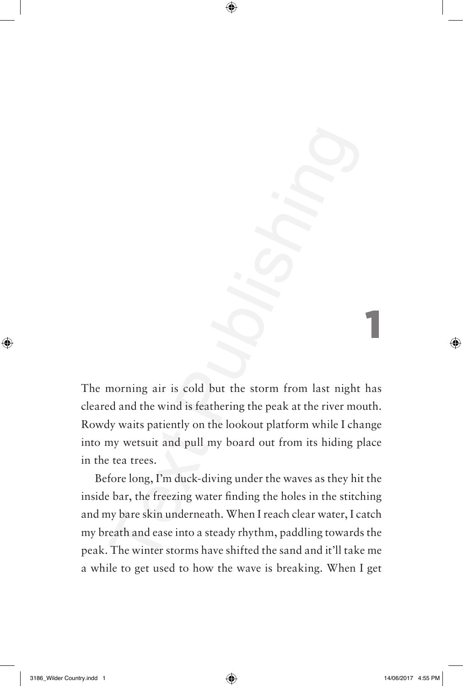The morning air is cold but the storm from last night has cleared and the wind is feathering the peak at the river mouth. Rowdy waits patiently on the lookout platform while I change into my wetsuit and pull my board out from its hiding place in the tea trees.

1

Before long, I'm duck-diving under the waves as they hit the inside bar, the freezing water finding the holes in the stitching and my bare skin underneath. When I reach clear water, I catch my breath and ease into a steady rhythm, paddling towards the peak. The winter storms have shifted the sand and it'll take me a while to get used to how the wave is breaking. When I get norning air is cold but the storm from last night<br>d and the wind is feathering the peak at the river more wise peak is a<br>the publishing that the river more wise peak is also that the river more<br>publishing publishing the lo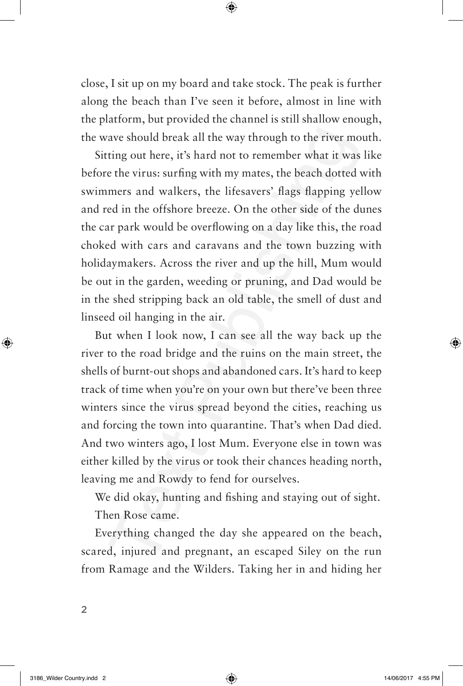close, I sit up on my board and take stock. The peak is further along the beach than I've seen it before, almost in line with the platform, but provided the channel is still shallow enough, the wave should break all the way through to the river mouth.

Sitting out here, it's hard not to remember what it was like before the virus: surfing with my mates, the beach dotted with swimmers and walkers, the lifesavers' flags flapping yellow and red in the offshore breeze. On the other side of the dunes the car park would be overflowing on a day like this, the road choked with cars and caravans and the town buzzing with holidaymakers. Across the river and up the hill, Mum would be out in the garden, weeding or pruning, and Dad would be in the shed stripping back an old table, the smell of dust and linseed oil hanging in the air. ave should break all the way through to the river moting out here, it's hard not to remember what it was the virus: surfing with my mates, the beach dotted vmers and walkers, the lifesavers' flags flapping yeld in the offs

But when I look now, I can see all the way back up the river to the road bridge and the ruins on the main street, the shells of burnt-out shops and abandoned cars. It's hard to keep track of time when you're on your own but there've been three winters since the virus spread beyond the cities, reaching us and forcing the town into quarantine. That's when Dad died. And two winters ago, I lost Mum. Everyone else in town was either killed by the virus or took their chances heading north, leaving me and Rowdy to fend for ourselves.

We did okay, hunting and fishing and staying out of sight. Then Rose came.

Everything changed the day she appeared on the beach, scared, injured and pregnant, an escaped Siley on the run from Ramage and the Wilders. Taking her in and hiding her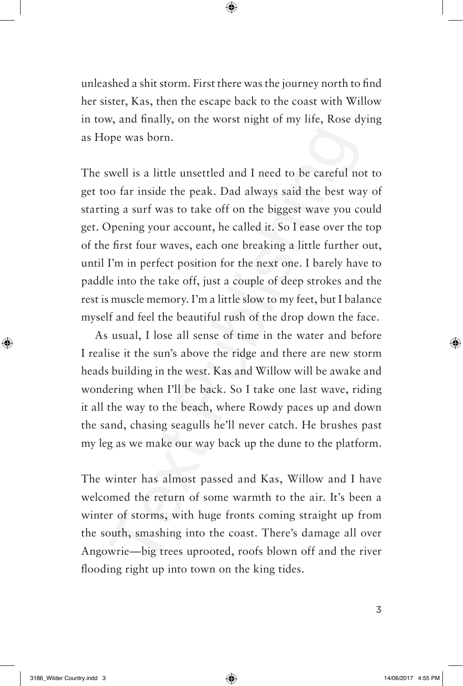unleashed a shit storm. First there was the journey north to find her sister, Kas, then the escape back to the coast with Willow in tow, and finally, on the worst night of my life, Rose dying as Hope was born.

The swell is a little unsettled and I need to be careful not to get too far inside the peak. Dad always said the best way of starting a surf was to take off on the biggest wave you could get. Opening your account, he called it. So I ease over the top of the first four waves, each one breaking a little further out, until I'm in perfect position for the next one. I barely have to paddle into the take off, just a couple of deep strokes and the rest is muscle memory. I'm a little slow to my feet, but I balance myself and feel the beautiful rush of the drop down the face. pe was born.<br>
well is a little unsettled and I need to be careful no<br>
oo far inside the peak. Dad always said the best wa;<br>
mg a surf was to take off on the biggest wave you co<br>
pening your account, he called it. So I ease

As usual, I lose all sense of time in the water and before I realise it the sun's above the ridge and there are new storm heads building in the west. Kas and Willow will be awake and wondering when I'll be back. So I take one last wave, riding it all the way to the beach, where Rowdy paces up and down the sand, chasing seagulls he'll never catch. He brushes past my leg as we make our way back up the dune to the platform.

The winter has almost passed and Kas, Willow and I have welcomed the return of some warmth to the air. It's been a winter of storms, with huge fronts coming straight up from the south, smashing into the coast. There's damage all over Angowrie—big trees uprooted, roofs blown off and the river flooding right up into town on the king tides.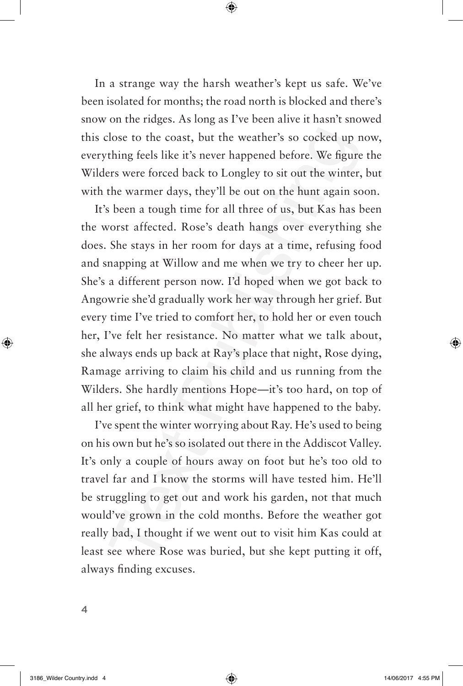In a strange way the harsh weather's kept us safe. We've been isolated for months; the road north is blocked and there's snow on the ridges. As long as I've been alive it hasn't snowed this close to the coast, but the weather's so cocked up now, everything feels like it's never happened before. We figure the Wilders were forced back to Longley to sit out the winter, but with the warmer days, they'll be out on the hunt again soon.

It's been a tough time for all three of us, but Kas has been the worst affected. Rose's death hangs over everything she does. She stays in her room for days at a time, refusing food and snapping at Willow and me when we try to cheer her up. She's a different person now. I'd hoped when we got back to Angowrie she'd gradually work her way through her grief. But every time I've tried to comfort her, to hold her or even touch her, I've felt her resistance. No matter what we talk about, she always ends up back at Ray's place that night, Rose dying, Ramage arriving to claim his child and us running from the Wilders. She hardly mentions Hope—it's too hard, on top of all her grief, to think what might have happened to the baby. lose to the coast, but the weather's so cocked up n<br>thing feels like it's never happened before. We figure<br>rs were forced back to Longley to sit out the winter,<br>the warmer days, they'll be out on the hunt again so<br>been a t

I've spent the winter worrying about Ray. He's used to being on his own but he's so isolated out there in the Addiscot Valley. It's only a couple of hours away on foot but he's too old to travel far and I know the storms will have tested him. He'll be struggling to get out and work his garden, not that much would've grown in the cold months. Before the weather got really bad, I thought if we went out to visit him Kas could at least see where Rose was buried, but she kept putting it off, always finding excuses.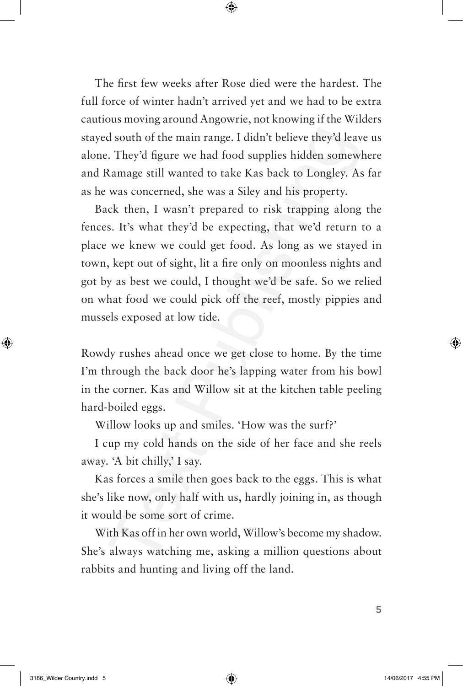The first few weeks after Rose died were the hardest. The full force of winter hadn't arrived yet and we had to be extra cautious moving around Angowrie, not knowing if the Wilders stayed south of the main range. I didn't believe they'd leave us alone. They'd figure we had food supplies hidden somewhere and Ramage still wanted to take Kas back to Longley. As far as he was concerned, she was a Siley and his property.

Back then, I wasn't prepared to risk trapping along the fences. It's what they'd be expecting, that we'd return to a place we knew we could get food. As long as we stayed in town, kept out of sight, lit a fire only on moonless nights and got by as best we could, I thought we'd be safe. So we relied on what food we could pick off the reef, mostly pippies and mussels exposed at low tide. If south of the main range. I didn't believe they'd leaves. They'd figure we had food supplies hidden somewlares thange still wanted to take Kas back to Longley. As was concerned, she was a Siley and his property.<br>Conseque

Rowdy rushes ahead once we get close to home. By the time I'm through the back door he's lapping water from his bowl in the corner. Kas and Willow sit at the kitchen table peeling hard-boiled eggs.

Willow looks up and smiles. 'How was the surf?'

I cup my cold hands on the side of her face and she reels away. 'A bit chilly,' I say.

Kas forces a smile then goes back to the eggs. This is what she's like now, only half with us, hardly joining in, as though it would be some sort of crime.

With Kas off in her own world, Willow's become my shadow. She's always watching me, asking a million questions about rabbits and hunting and living off the land.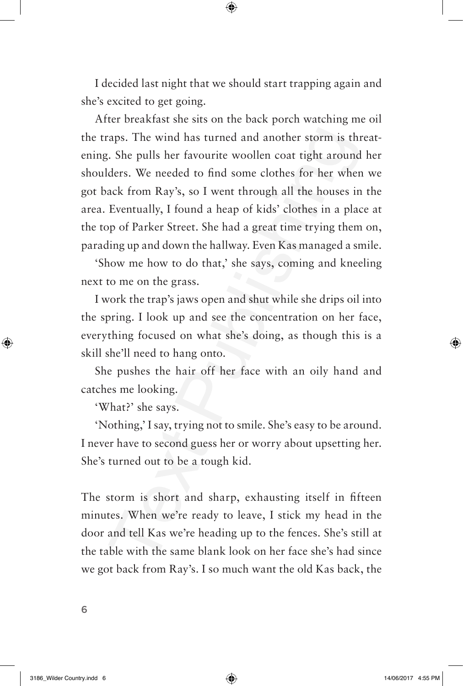I decided last night that we should start trapping again and she's excited to get going.

After breakfast she sits on the back porch watching me oil the traps. The wind has turned and another storm is threatening. She pulls her favourite woollen coat tight around her shoulders. We needed to find some clothes for her when we got back from Ray's, so I went through all the houses in the area. Eventually, I found a heap of kids' clothes in a place at the top of Parker Street. She had a great time trying them on, parading up and down the hallway. Even Kas managed a smile. aps. The wind has turned and another storm is thraw the Shee pulls her favourite woollen coat tight around ders. We needed to find some clothes for her when ack from Ray's, so I went through all the houses in Eventually, I

'Show me how to do that,' she says, coming and kneeling next to me on the grass.

I work the trap's jaws open and shut while she drips oil into the spring. I look up and see the concentration on her face, everything focused on what she's doing, as though this is a skill she'll need to hang onto.

She pushes the hair off her face with an oily hand and catches me looking.

'What?' she says.

'Nothing,' I say, trying not to smile. She's easy to be around. I never have to second guess her or worry about upsetting her. She's turned out to be a tough kid.

The storm is short and sharp, exhausting itself in fifteen minutes. When we're ready to leave, I stick my head in the door and tell Kas we're heading up to the fences. She's still at the table with the same blank look on her face she's had since we got back from Ray's. I so much want the old Kas back, the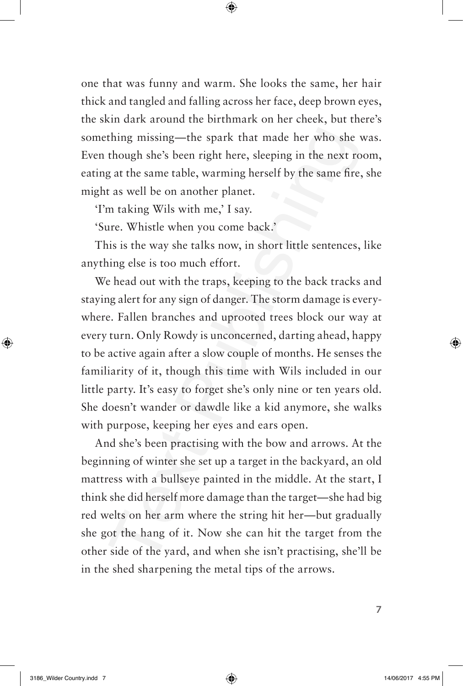one that was funny and warm. She looks the same, her hair thick and tangled and falling across her face, deep brown eyes, the skin dark around the birthmark on her cheek, but there's something missing—the spark that made her who she was. Even though she's been right here, sleeping in the next room, eating at the same table, warming herself by the same fire, she might as well be on another planet.

'I'm taking Wils with me,' I say.

'Sure. Whistle when you come back.'

This is the way she talks now, in short little sentences, like anything else is too much effort.

We head out with the traps, keeping to the back tracks and staying alert for any sign of danger. The storm damage is everywhere. Fallen branches and uprooted trees block our way at every turn. Only Rowdy is unconcerned, darting ahead, happy to be active again after a slow couple of months. He senses the familiarity of it, though this time with Wils included in our little party. It's easy to forget she's only nine or ten years old. She doesn't wander or dawdle like a kid anymore, she walks with purpose, keeping her eyes and ears open. thing missing—the spark that made her who she v<br>though she's been right here, sleeping in the next ro<br>g at the same table, warming herself by the same fire,<br>g at the same table, warming herself by the same fire,<br>as well be

And she's been practising with the bow and arrows. At the beginning of winter she set up a target in the backyard, an old mattress with a bullseye painted in the middle. At the start, I think she did herself more damage than the target—she had big red welts on her arm where the string hit her—but gradually she got the hang of it. Now she can hit the target from the other side of the yard, and when she isn't practising, she'll be in the shed sharpening the metal tips of the arrows.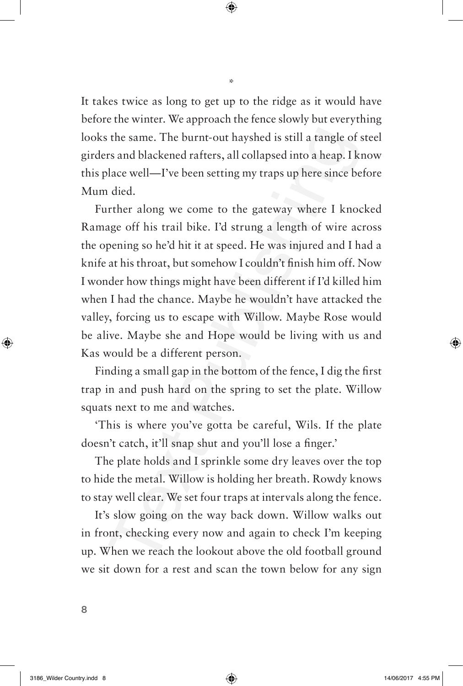It takes twice as long to get up to the ridge as it would have before the winter. We approach the fence slowly but everything looks the same. The burnt-out hayshed is still a tangle of steel girders and blackened rafters, all collapsed into a heap. I know this place well—I've been setting my traps up here since before Mum died.

Further along we come to the gateway where I knocked Ramage off his trail bike. I'd strung a length of wire across the opening so he'd hit it at speed. He was injured and I had a knife at his throat, but somehow I couldn't finish him off. Now I wonder how things might have been different if I'd killed him when I had the chance. Maybe he wouldn't have attacked the valley, forcing us to escape with Willow. Maybe Rose would be alive. Maybe she and Hope would be living with us and Kas would be a different person. the same. The burnt-out hayshed is still a tangle of stame. The burnt-out hayshed is still a tangle of stame and blackened rafters, all collapsed into a heap. I knace well—I've been setting my traps up here since be died.<br>

Finding a small gap in the bottom of the fence, I dig the first trap in and push hard on the spring to set the plate. Willow squats next to me and watches.

'This is where you've gotta be careful, Wils. If the plate doesn't catch, it'll snap shut and you'll lose a finger.'

The plate holds and I sprinkle some dry leaves over the top to hide the metal. Willow is holding her breath. Rowdy knows to stay well clear. We set four traps at intervals along the fence.

It's slow going on the way back down. Willow walks out in front, checking every now and again to check I'm keeping up. When we reach the lookout above the old football ground we sit down for a rest and scan the town below for any sign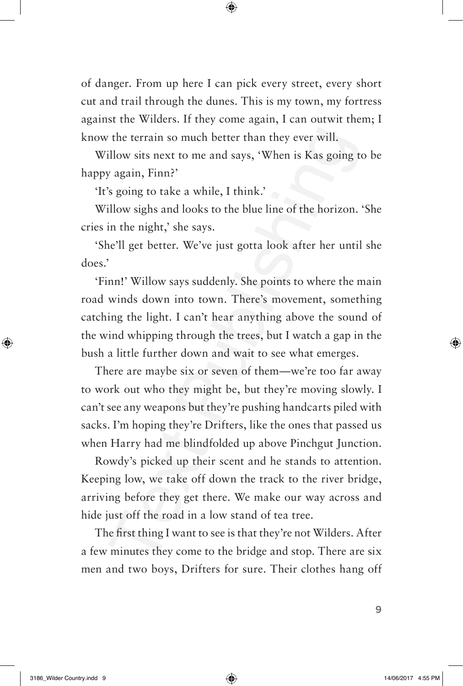of danger. From up here I can pick every street, every short cut and trail through the dunes. This is my town, my fortress against the Wilders. If they come again, I can outwit them; I know the terrain so much better than they ever will.

Willow sits next to me and says, 'When is Kas going to be happy again, Finn?'

'It's going to take a while, I think.'

Willow sighs and looks to the blue line of the horizon. 'She cries in the night,' she says.

'She'll get better. We've just gotta look after her until she does.'

'Finn!' Willow says suddenly. She points to where the main road winds down into town. There's movement, something catching the light. I can't hear anything above the sound of the wind whipping through the trees, but I watch a gap in the bush a little further down and wait to see what emerges. the terrain so much better than they ever will.<br>
Illow sits next to me and says, 'When is Kas going to<br> *x* again, Finn?'<br>
S going to take a while, I think.'<br>
Illow sighs and looks to the blue line of the horizon. '<br>
in th

There are maybe six or seven of them—we're too far away to work out who they might be, but they're moving slowly. I can't see any weapons but they're pushing handcarts piled with sacks. I'm hoping they're Drifters, like the ones that passed us when Harry had me blindfolded up above Pinchgut Junction.

Rowdy's picked up their scent and he stands to attention. Keeping low, we take off down the track to the river bridge, arriving before they get there. We make our way across and hide just off the road in a low stand of tea tree.

The first thing I want to see is that they're not Wilders. After a few minutes they come to the bridge and stop. There are six men and two boys, Drifters for sure. Their clothes hang off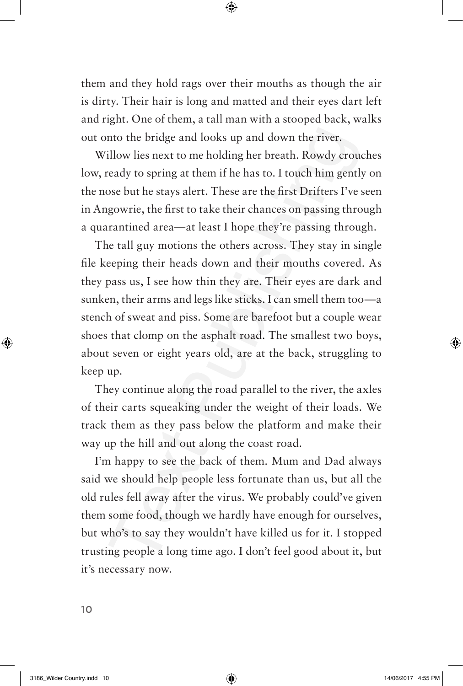them and they hold rags over their mouths as though the air is dirty. Their hair is long and matted and their eyes dart left and right. One of them, a tall man with a stooped back, walks out onto the bridge and looks up and down the river.

Willow lies next to me holding her breath. Rowdy crouches low, ready to spring at them if he has to. I touch him gently on the nose but he stays alert. These are the first Drifters I've seen in Angowrie, the first to take their chances on passing through a quarantined area—at least I hope they're passing through.

The tall guy motions the others across. They stay in single file keeping their heads down and their mouths covered. As they pass us, I see how thin they are. Their eyes are dark and sunken, their arms and legs like sticks. I can smell them too—a stench of sweat and piss. Some are barefoot but a couple wear shoes that clomp on the asphalt road. The smallest two boys, about seven or eight years old, are at the back, struggling to keep up. nto the bridge and looks up and down the river.<br>
Illow lies next to me holding her breath. Rowdy crouse ady to spring at them if he has to. I touch him gently<br>
see but he stays alert. These are the first Drifters I've gowr

They continue along the road parallel to the river, the axles of their carts squeaking under the weight of their loads. We track them as they pass below the platform and make their way up the hill and out along the coast road.

I'm happy to see the back of them. Mum and Dad always said we should help people less fortunate than us, but all the old rules fell away after the virus. We probably could've given them some food, though we hardly have enough for ourselves, but who's to say they wouldn't have killed us for it. I stopped trusting people a long time ago. I don't feel good about it, but it's necessary now.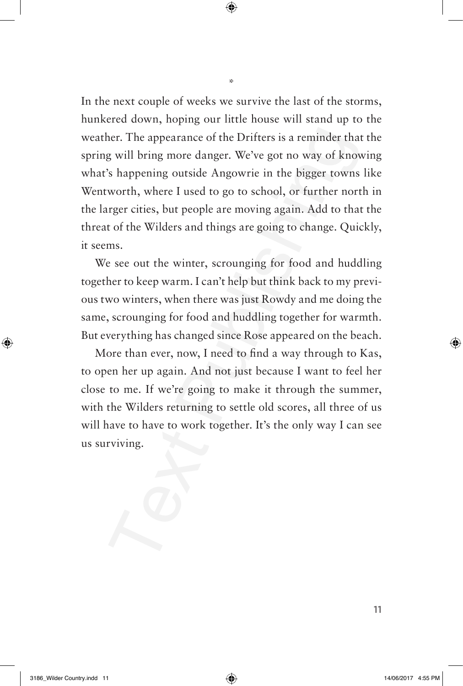In the next couple of weeks we survive the last of the storms, hunkered down, hoping our little house will stand up to the weather. The appearance of the Drifters is a reminder that the spring will bring more danger. We've got no way of knowing what's happening outside Angowrie in the bigger towns like Wentworth, where I used to go to school, or further north in the larger cities, but people are moving again. Add to that the threat of the Wilders and things are going to change. Quickly, it seems. er. The appearance of the Drifters is a reminder that<br>g will bring more danger. We've got no way of know<br>s happening outside Angowrie in the bigger towns<br>worth, where I used to go to school, or further nort<br>rger cities, bu

We see out the winter, scrounging for food and huddling together to keep warm. I can't help but think back to my previous two winters, when there was just Rowdy and me doing the same, scrounging for food and huddling together for warmth. But everything has changed since Rose appeared on the beach.

More than ever, now, I need to find a way through to Kas, to open her up again. And not just because I want to feel her close to me. If we're going to make it through the summer, with the Wilders returning to settle old scores, all three of us will have to have to work together. It's the only way I can see us surviving.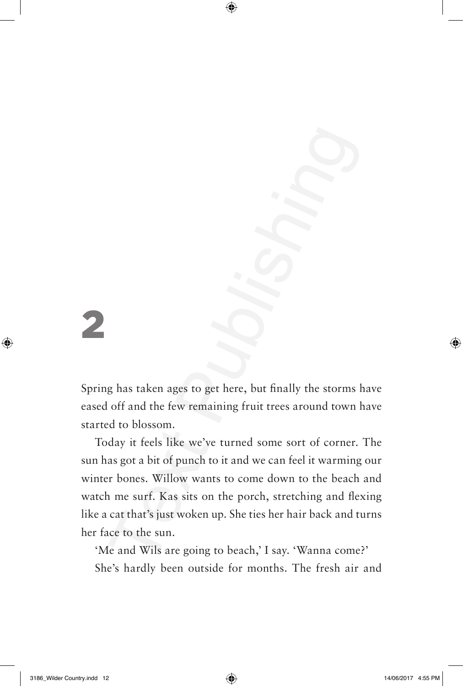2

Spring has taken ages to get here, but finally the storms have eased off and the few remaining fruit trees around town have started to blossom.

Today it feels like we've turned some sort of corner. The sun has got a bit of punch to it and we can feel it warming our winter bones. Willow wants to come down to the beach and watch me surf. Kas sits on the porch, stretching and flexing like a cat that's just woken up. She ties her hair back and turns her face to the sun. g has taken ages to get here, but finally the storms b<br>off and the few remaining fruit trees around town h<br>d to blossom.<br>Aay it feels like we've turned some sort of corner.<br>As got a bit of punch to it and we can feel it wa

'Me and Wils are going to beach,' I say. 'Wanna come?' She's hardly been outside for months. The fresh air and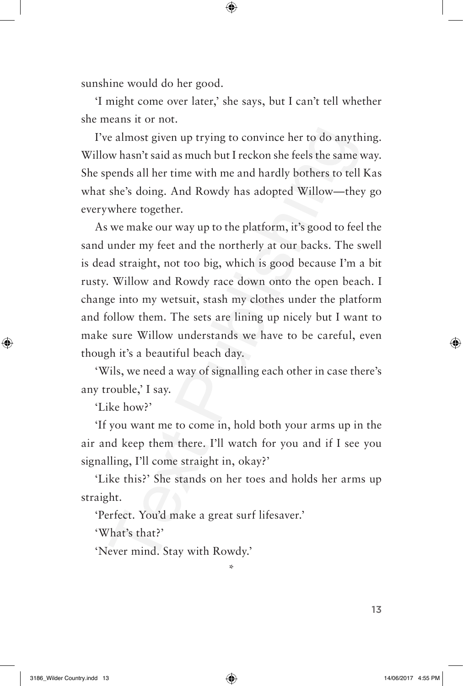sunshine would do her good.

'I might come over later,' she says, but I can't tell whether she means it or not.

I've almost given up trying to convince her to do anything. Willow hasn't said as much but I reckon she feels the same way. She spends all her time with me and hardly bothers to tell Kas what she's doing. And Rowdy has adopted Willow—they go everywhere together.

As we make our way up to the platform, it's good to feel the sand under my feet and the northerly at our backs. The swell is dead straight, not too big, which is good because I'm a bit rusty. Willow and Rowdy race down onto the open beach. I change into my wetsuit, stash my clothes under the platform and follow them. The sets are lining up nicely but I want to make sure Willow understands we have to be careful, even though it's a beautiful beach day. e almost given up trying to convince her to do anyth<br>whasn't said as much but I reckon she feels the same vends all her time with me and hardly bothers to tell<br>she's doing. And Rowdy has adopted Willow—they<br>where together.

'Wils, we need a way of signalling each other in case there's any trouble,' I say.

'Like how?'

'If you want me to come in, hold both your arms up in the air and keep them there. I'll watch for you and if I see you signalling, I'll come straight in, okay?'

'Like this?' She stands on her toes and holds her arms up straight.

'Perfect. You'd make a great surf lifesaver.'

'What's that?'

'Never mind. Stay with Rowdy.'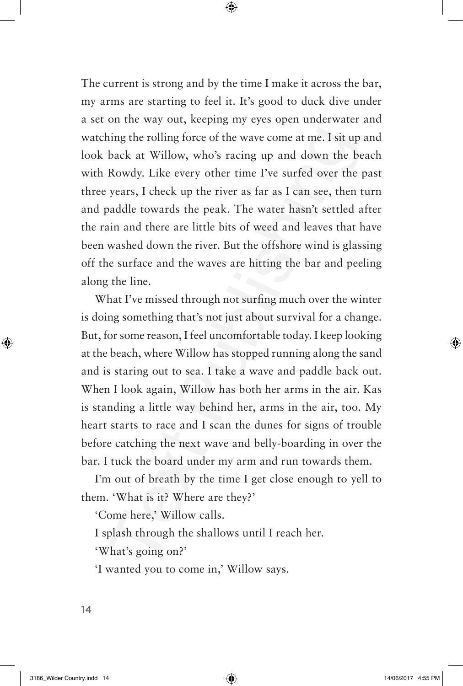The current is strong and by the time I make it across the bar, my arms are starting to feel it. It's good to duck dive under a set on the way out, keeping my eyes open underwater and watching the rolling force of the wave come at me. I sit up and look back at Willow, who's racing up and down the beach with Rowdy. Like every other time I've surfed over the past three years, I check up the river as far as I can see, then turn and paddle towards the peak. The water hasn't settled after the rain and there are little bits of weed and leaves that have been washed down the river. But the offshore wind is glassing off the surface and the waves are hitting the bar and peeling along the line.

What I've missed through not surfing much over the winter is doing something that's not just about survival for a change. But, for some reason, I feel uncomfortable today. I keep looking at the beach, where Willow has stopped running along the sand and is staring out to sea. I take a wave and paddle back out. When I look again, Willow has both her arms in the air. Kas is standing a little way behind her, arms in the air, too. My heart starts to race and I scan the dunes for signs of trouble before catching the next wave and belly-boarding in over the bar. I tuck the board under my arm and run towards them. ing the rolling force of the wave come at me. I sit up<br>back at Willow, who's racing up and down the be<br>Rowdy. Like every other time I've surfed over the p<br>vears, I check up the river as far as I can see, then t<br>p<br>vars, I c

I'm out of breath by the time I get close enough to yell to them. 'What is it? Where are they?'

'Come here,' Willow calls.

I splash through the shallows until I reach her.

'What's going on?'

'I wanted you to come in,' Willow says.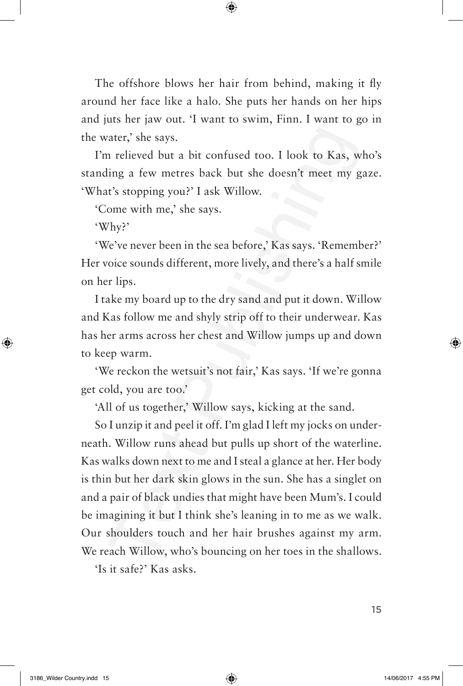The offshore blows her hair from behind, making it fly around her face like a halo. She puts her hands on her hips and juts her jaw out. 'I want to swim, Finn. I want to go in the water,' she says.

I'm relieved but a bit confused too. I look to Kas, who's standing a few metres back but she doesn't meet my gaze. 'What's stopping you?' I ask Willow.

'Come with me,' she says.

'Why?'

'We've never been in the sea before,' Kas says. 'Remember?' Her voice sounds different, more lively, and there's a half smile on her lips.

I take my board up to the dry sand and put it down. Willow and Kas follow me and shyly strip off to their underwear. Kas has her arms across her chest and Willow jumps up and down to keep warm.

'We reckon the wetsuit's not fair,' Kas says. 'If we're gonna get cold, you are too.'

'All of us together,' Willow says, kicking at the sand.

So I unzip it and peel it off. I'm glad I left my jocks on underneath. Willow runs ahead but pulls up short of the waterline. Kas walks down next to me and I steal a glance at her. Her body is thin but her dark skin glows in the sun. She has a singlet on and a pair of black undies that might have been Mum's. I could be imagining it but I think she's leaning in to me as we walk. Our shoulders touch and her hair brushes against my arm. We reach Willow, who's bouncing on her toes in the shallows. ater,' she says.<br>
ater,' she says.<br>
ater,' she says.<br>
ing a few metres back but she doesn't meet my g;<br>
t's stopping you?' I ask Willow.<br>
Diverse State State State State State State State State State State State State Stat

'Is it safe?' Kas asks.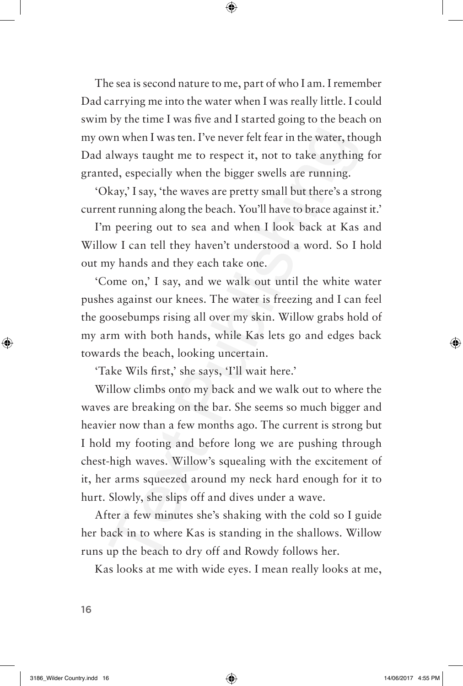The sea is second nature to me, part of who I am. I remember Dad carrying me into the water when I was really little. I could swim by the time I was five and I started going to the beach on my own when I was ten. I've never felt fear in the water, though Dad always taught me to respect it, not to take anything for granted, especially when the bigger swells are running.

'Okay,' I say, 'the waves are pretty small but there's a strong current running along the beach. You'll have to brace against it.'

I'm peering out to sea and when I look back at Kas and Willow I can tell they haven't understood a word. So I hold out my hands and they each take one.

'Come on,' I say, and we walk out until the white water pushes against our knees. The water is freezing and I can feel the goosebumps rising all over my skin. Willow grabs hold of my arm with both hands, while Kas lets go and edges back towards the beach, looking uncertain.

'Take Wils first,' she says, 'I'll wait here.'

Willow climbs onto my back and we walk out to where the waves are breaking on the bar. She seems so much bigger and heavier now than a few months ago. The current is strong but I hold my footing and before long we are pushing through chest-high waves. Willow's squealing with the excitement of it, her arms squeezed around my neck hard enough for it to hurt. Slowly, she slips off and dives under a wave. or when I was ten. I've never felt fear in the water, tho llways taught me to respect it, not to take anything<br>ed, especially when the bigger swells are running.<br>Ray,' I say, 'the waves are pretty small but there's a str<br>a

After a few minutes she's shaking with the cold so I guide her back in to where Kas is standing in the shallows. Willow runs up the beach to dry off and Rowdy follows her.

Kas looks at me with wide eyes. I mean really looks at me,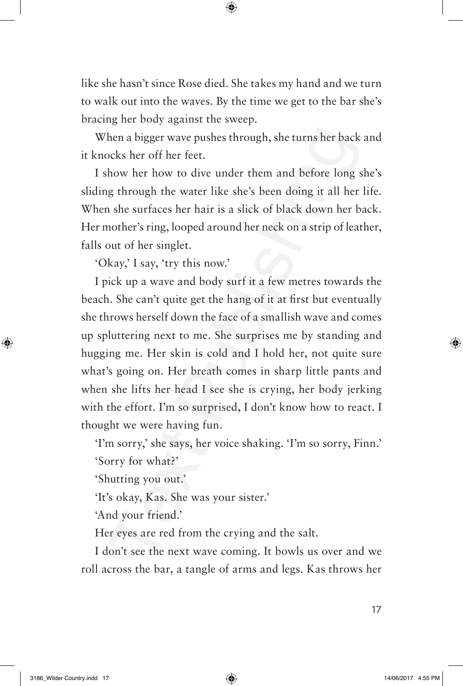like she hasn't since Rose died. She takes my hand and we turn to walk out into the waves. By the time we get to the bar she's bracing her body against the sweep.

When a bigger wave pushes through, she turns her back and it knocks her off her feet.

I show her how to dive under them and before long she's sliding through the water like she's been doing it all her life. When she surfaces her hair is a slick of black down her back. Her mother's ring, looped around her neck on a strip of leather, falls out of her singlet.

'Okay,' I say, 'try this now.'

I pick up a wave and body surf it a few metres towards the beach. She can't quite get the hang of it at first but eventually she throws herself down the face of a smallish wave and comes up spluttering next to me. She surprises me by standing and hugging me. Her skin is cold and I hold her, not quite sure what's going on. Her breath comes in sharp little pants and when she lifts her head I see she is crying, her body jerking with the effort. I'm so surprised, I don't know how to react. I thought we were having fun. hen a bigger wave pushes through, she turns her back<br>cks her off her feet.<br>cks her off her feet.<br>how her how to dive under them and before long s<br>g through the water like she's been doing it all her<br>sherves right, once the

'I'm sorry,' she says, her voice shaking. 'I'm so sorry, Finn.'

'Sorry for what?'

'Shutting you out.'

'It's okay, Kas. She was your sister.'

'And your friend.'

Her eyes are red from the crying and the salt.

I don't see the next wave coming. It bowls us over and we roll across the bar, a tangle of arms and legs. Kas throws her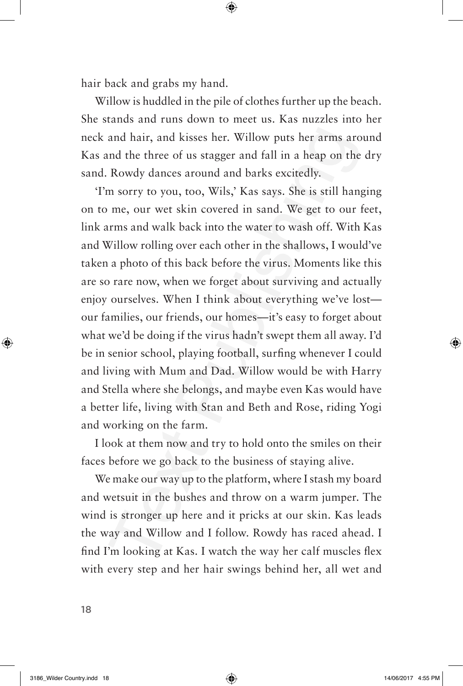hair back and grabs my hand.

Willow is huddled in the pile of clothes further up the beach. She stands and runs down to meet us. Kas nuzzles into her neck and hair, and kisses her. Willow puts her arms around Kas and the three of us stagger and fall in a heap on the dry sand. Rowdy dances around and barks excitedly.

'I'm sorry to you, too, Wils,' Kas says. She is still hanging on to me, our wet skin covered in sand. We get to our feet, link arms and walk back into the water to wash off. With Kas and Willow rolling over each other in the shallows, I would've taken a photo of this back before the virus. Moments like this are so rare now, when we forget about surviving and actually enjoy ourselves. When I think about everything we've lost our families, our friends, our homes—it's easy to forget about what we'd be doing if the virus hadn't swept them all away. I'd be in senior school, playing football, surfing whenever I could and living with Mum and Dad. Willow would be with Harry and Stella where she belongs, and maybe even Kas would have a better life, living with Stan and Beth and Rose, riding Yogi and working on the farm. and hair, and kisses her. Willow puts her arms aro<br>nd the three of us stagger and fall in a heap on the<br>Rowdy dances around and barks excitedly.<br>n sorry to you, too, Wils,' Kas says. She is still hang<br>me, our wet skin cove

I look at them now and try to hold onto the smiles on their faces before we go back to the business of staying alive.

We make our way up to the platform, where I stash my board and wetsuit in the bushes and throw on a warm jumper. The wind is stronger up here and it pricks at our skin. Kas leads the way and Willow and I follow. Rowdy has raced ahead. I find I'm looking at Kas. I watch the way her calf muscles flex with every step and her hair swings behind her, all wet and